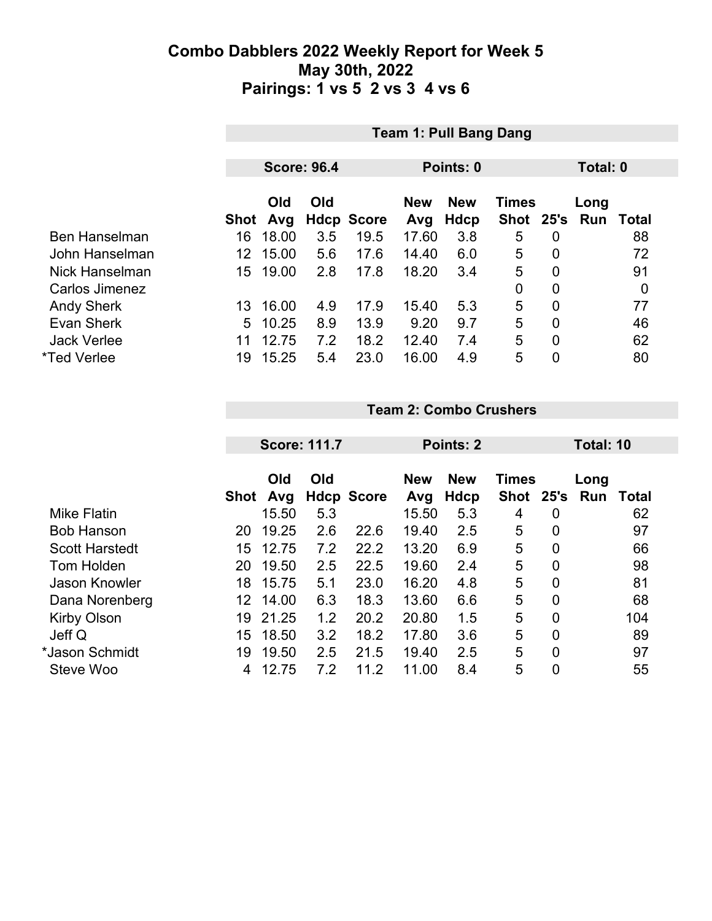|                       |      | <b>Team 1: Pull Bang Dang</b> |     |                   |            |            |               |   |          |       |  |
|-----------------------|------|-------------------------------|-----|-------------------|------------|------------|---------------|---|----------|-------|--|
|                       |      |                               |     |                   |            |            |               |   |          |       |  |
|                       |      | <b>Score: 96.4</b>            |     |                   |            | Points: 0  |               |   | Total: 0 |       |  |
|                       |      |                               |     |                   |            |            |               |   |          |       |  |
|                       |      | Old                           | Old |                   | <b>New</b> | <b>New</b> | <b>Times</b>  |   | Long     |       |  |
|                       | Shot | Avg                           |     | <b>Hdcp Score</b> | Avg        | Hdcp       | Shot 25's Run |   |          | Total |  |
| <b>Ben Hanselman</b>  | 16   | 18.00                         | 3.5 | 19.5              | 17.60      | 3.8        | 5             | 0 |          | 88    |  |
| John Hanselman        | 12   | 15.00                         | 5.6 | 17.6              | 14.40      | 6.0        | 5             | 0 |          | 72    |  |
| <b>Nick Hanselman</b> | 15   | 19.00                         | 2.8 | 17.8              | 18.20      | 3.4        | 5             | 0 |          | 91    |  |
| Carlos Jimenez        |      |                               |     |                   |            |            | 0             | 0 |          | 0     |  |
| <b>Andy Sherk</b>     | 13   | 16.00                         | 4.9 | 17.9              | 15.40      | 5.3        | 5             | 0 |          | 77    |  |
| Evan Sherk            | 5    | 10.25                         | 8.9 | 13.9              | 9.20       | 9.7        | 5             | 0 |          | 46    |  |
| <b>Jack Verlee</b>    | 11   | 12.75                         | 7.2 | 18.2              | 12.40      | 7.4        | 5             | 0 |          | 62    |  |
| *Ted Verlee           | 19   | 15.25                         | 5.4 | 23.0              | 16.00      | 4.9        | 5             | 0 |          | 80    |  |
|                       |      |                               |     |                   |            |            |               |   |          |       |  |

**Team 2: Combo Crushers**

|                       |             | <b>Score: 111.7</b> |     |                   | <b>Points: 2</b>  |                    |                      |                  | Total: 10   |       |  |
|-----------------------|-------------|---------------------|-----|-------------------|-------------------|--------------------|----------------------|------------------|-------------|-------|--|
|                       | <b>Shot</b> | Old<br>Avg          | Old | <b>Hdcp Score</b> | <b>New</b><br>Avg | <b>New</b><br>Hdcp | <b>Times</b><br>Shot | 25's             | Long<br>Run | Total |  |
| <b>Mike Flatin</b>    |             | 15.50               | 5.3 |                   | 15.50             | 5.3                | 4                    | 0                |             | 62    |  |
| <b>Bob Hanson</b>     | 20          | 19.25               | 2.6 | 22.6              | 19.40             | 2.5                | 5                    | 0                |             | 97    |  |
| <b>Scott Harstedt</b> | 15          | 12.75               | 7.2 | 22.2              | 13.20             | 6.9                | 5                    | $\overline{0}$   |             | 66    |  |
| Tom Holden            | 20          | 19.50               | 2.5 | 22.5              | 19.60             | 2.4                | 5                    | $\overline{0}$   |             | 98    |  |
| <b>Jason Knowler</b>  | 18          | 15.75               | 5.1 | 23.0              | 16.20             | 4.8                | 5                    | $\overline{0}$   |             | 81    |  |
| Dana Norenberg        | 12.         | 14.00               | 6.3 | 18.3              | 13.60             | 6.6                | 5                    | $\boldsymbol{0}$ |             | 68    |  |
| Kirby Olson           | 19          | 21.25               | 1.2 | 20.2              | 20.80             | 1.5                | 5                    | $\overline{0}$   |             | 104   |  |
| Jeff Q                | 15          | 18.50               | 3.2 | 18.2              | 17.80             | 3.6                | 5                    | 0                |             | 89    |  |
| *Jason Schmidt        | 19          | 19.50               | 2.5 | 21.5              | 19.40             | 2.5                | 5                    | $\overline{0}$   |             | 97    |  |
| Steve Woo             | 4           | 12.75               | 7.2 | 11.2              | 11.00             | 8.4                | 5                    |                  |             | 55    |  |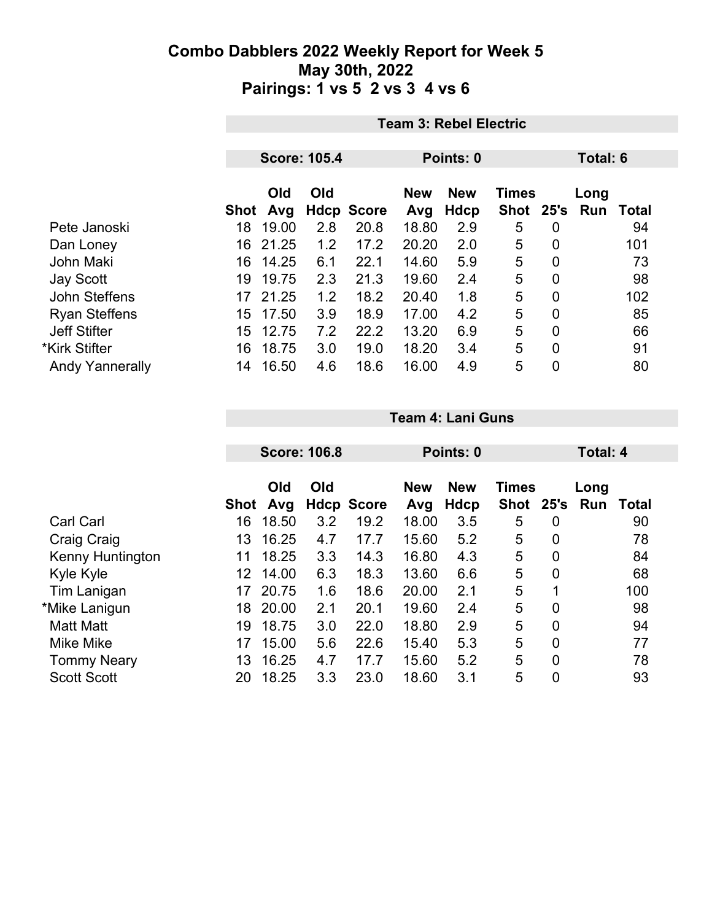|                        |      | <b>Team 3: Rebel Electric</b> |                     |                   |                                          |      |           |                |      |       |  |
|------------------------|------|-------------------------------|---------------------|-------------------|------------------------------------------|------|-----------|----------------|------|-------|--|
|                        |      |                               |                     |                   |                                          |      |           |                |      |       |  |
|                        |      |                               | <b>Score: 105.4</b> |                   | Points: 0                                |      |           | Total: 6       |      |       |  |
|                        |      | Old<br>Old                    |                     |                   | <b>New</b><br><b>New</b><br><b>Times</b> |      |           |                | Long |       |  |
|                        | Shot | Avg                           |                     | <b>Hdcp Score</b> | Avg                                      | Hdcp | Shot 25's |                | Run  | Total |  |
| Pete Janoski           | 18   | 19.00                         | 2.8                 | 20.8              | 18.80                                    | 2.9  | 5         | $\overline{0}$ |      | 94    |  |
| Dan Loney              | 16   | 21.25                         | 1.2                 | 17.2              | 20.20                                    | 2.0  | 5         | $\overline{0}$ |      | 101   |  |
| <b>John Maki</b>       | 16   | 14.25                         | 6.1                 | 22.1              | 14.60                                    | 5.9  | 5         | $\overline{0}$ |      | 73    |  |
| Jay Scott              | 19   | 19.75                         | 2.3                 | 21.3              | 19.60                                    | 2.4  | 5         | $\overline{0}$ |      | 98    |  |
| John Steffens          |      | 17 21.25                      | 1.2                 | 18.2              | 20.40                                    | 1.8  | 5         | $\overline{0}$ |      | 102   |  |
| <b>Ryan Steffens</b>   | 15   | 17.50                         | 3.9                 | 18.9              | 17.00                                    | 4.2  | 5         | $\overline{0}$ |      | 85    |  |
| <b>Jeff Stifter</b>    | 15   | 12.75                         | 7.2                 | 22.2              | 13.20                                    | 6.9  | 5         | $\overline{0}$ |      | 66    |  |
| *Kirk Stifter          | 16   | 18.75                         | 3.0                 | 19.0              | 18.20                                    | 3.4  | 5         | $\mathbf{0}$   |      | 91    |  |
| <b>Andy Yannerally</b> | 14   | 16.50                         | 4.6                 | 18.6              | 16.00                                    | 4.9  | 5         | 0              |      | 80    |  |

|                         |      | <b>Score: 106.8</b> |     |                   | Points: 0         |                    |                      |             | <b>Total: 4</b>  |       |  |
|-------------------------|------|---------------------|-----|-------------------|-------------------|--------------------|----------------------|-------------|------------------|-------|--|
|                         | Shot | Old<br>Avg          | Old | <b>Hdcp Score</b> | <b>New</b><br>Avg | <b>New</b><br>Hdcp | <b>Times</b><br>Shot |             | Long<br>25's Run | Total |  |
| <b>Carl Carl</b>        | 16   | 18.50               | 3.2 | 19.2              | 18.00             | 3.5                | 5                    | 0           |                  | 90    |  |
| Craig Craig             | 13   | 16.25               | 4.7 | 17.7              | 15.60             | 5.2                | 5                    | 0           |                  | 78    |  |
| <b>Kenny Huntington</b> | 11   | 18.25               | 3.3 | 14.3              | 16.80             | 4.3                | 5                    | $\mathbf 0$ |                  | 84    |  |
| Kyle Kyle               | 12   | 14.00               | 6.3 | 18.3              | 13.60             | 6.6                | 5                    | 0           |                  | 68    |  |
| Tim Lanigan             | 17   | 20.75               | 1.6 | 18.6              | 20.00             | 2.1                | 5                    | 1           |                  | 100   |  |
| *Mike Lanigun           | 18   | 20.00               | 2.1 | 20.1              | 19.60             | 2.4                | 5                    | 0           |                  | 98    |  |
| <b>Matt Matt</b>        | 19   | 18.75               | 3.0 | 22.0              | 18.80             | 2.9                | 5                    | 0           |                  | 94    |  |
| Mike Mike               | 17   | 15.00               | 5.6 | 22.6              | 15.40             | 5.3                | 5                    | 0           |                  | 77    |  |
| <b>Tommy Neary</b>      | 13   | 16.25               | 4.7 | 17.7              | 15.60             | 5.2                | 5                    | 0           |                  | 78    |  |
| <b>Scott Scott</b>      | 20   | 18.25               | 3.3 | 23.0              | 18.60             | 3.1                | 5                    | 0           |                  | 93    |  |

**Team 4: Lani Guns**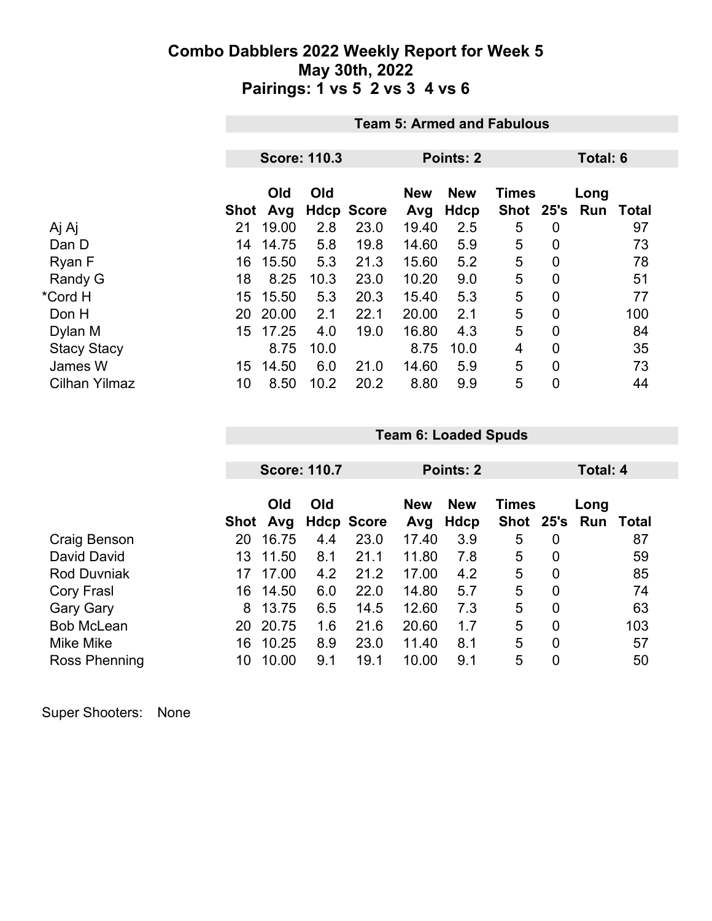|                      |            | <b>Team 5: Armed and Fabulous</b> |                     |                           |              |             |                |                |                 |                    |  |
|----------------------|------------|-----------------------------------|---------------------|---------------------------|--------------|-------------|----------------|----------------|-----------------|--------------------|--|
|                      |            |                                   |                     |                           |              |             |                |                |                 |                    |  |
|                      |            |                                   | <b>Score: 110.3</b> |                           | Points: 2    |             |                |                | <b>Total: 6</b> |                    |  |
|                      |            | Old                               | Old                 |                           | <b>New</b>   | <b>New</b>  | <b>Times</b>   |                | Long            |                    |  |
| Aj Aj                | Shot<br>21 | Avg<br>19.00                      | 2.8                 | <b>Hdcp Score</b><br>23.0 | Avg<br>19.40 | Hdcp<br>2.5 | Shot 25's<br>5 | 0              | Run             | <b>Total</b><br>97 |  |
| Dan D                | 14         | 14.75                             | 5.8                 | 19.8                      | 14.60        | 5.9         | 5              | $\overline{0}$ |                 | 73                 |  |
| Ryan F               | 16         | 15.50                             | 5.3                 | 21.3                      | 15.60        | 5.2         | 5              | $\mathbf 0$    |                 | 78                 |  |
| Randy G              | 18         | 8.25                              | 10.3                | 23.0                      | 10.20        | 9.0         | 5              | $\overline{0}$ |                 | 51                 |  |
| *Cord H              | 15         | 15.50                             | 5.3                 | 20.3                      | 15.40        | 5.3         | 5              | $\mathbf 0$    |                 | 77                 |  |
| Don H                | 20         | 20.00                             | 2.1                 | 22.1                      | 20.00        | 2.1         | 5              | $\mathbf 0$    |                 | 100                |  |
| Dylan M              | 15         | 17.25                             | 4.0                 | 19.0                      | 16.80        | 4.3         | 5              | $\mathbf 0$    |                 | 84                 |  |
| <b>Stacy Stacy</b>   |            | 8.75                              | 10.0                |                           | 8.75         | 10.0        | 4              | $\overline{0}$ |                 | 35                 |  |
| James W              | 15         | 14.50                             | 6.0                 | 21.0                      | 14.60        | 5.9         | 5              | $\mathbf 0$    |                 | 73                 |  |
| <b>Cilhan Yilmaz</b> | 10         | 8.50                              | 10.2                | 20.2                      | 8.80         | 9.9         | 5              | $\mathbf 0$    |                 | 44                 |  |

|                    |      |            | <b>Score: 110.7</b> |                   | Points: 2         |                    |              |                | Total: 4              |       |
|--------------------|------|------------|---------------------|-------------------|-------------------|--------------------|--------------|----------------|-----------------------|-------|
|                    | Shot | Old<br>Avg | Old                 | <b>Hdcp Score</b> | <b>New</b><br>Avg | <b>New</b><br>Hdcp | <b>Times</b> |                | Long<br>Shot 25's Run | Total |
| Craig Benson       | 20   | 16.75      | 4.4                 | 23.0              | 17.40             | 3.9                | 5            | 0              |                       | 87    |
| David David        | 13   | 11.50      | 8.1                 | 21.1              | 11.80             | 7.8                | 5            | 0              |                       | 59    |
| <b>Rod Duvniak</b> | 17   | 17.00      | 4.2                 | 21.2              | 17.00             | 4.2                | 5            | $\overline{0}$ |                       | 85    |
| Cory Frasl         | 16   | 14.50      | 6.0                 | 22.0              | 14.80             | 5.7                | 5            | $\overline{0}$ |                       | 74    |
| <b>Gary Gary</b>   | 8    | 13.75      | 6.5                 | 14.5              | 12.60             | 7.3                | 5            | $\overline{0}$ |                       | 63    |
| <b>Bob McLean</b>  | 20   | 20.75      | 1.6                 | 21.6              | 20.60             | 1.7                | 5            | $\overline{0}$ |                       | 103   |
| Mike Mike          | 16   | 10.25      | 8.9                 | 23.0              | 11.40             | 8.1                | 5            | $\overline{0}$ |                       | 57    |
| Ross Phenning      | 10   | 10.00      | 9.1                 | 19.1              | 10.00             | 9.1                | 5            | $\overline{0}$ |                       | 50    |

**Team 6: Loaded Spuds**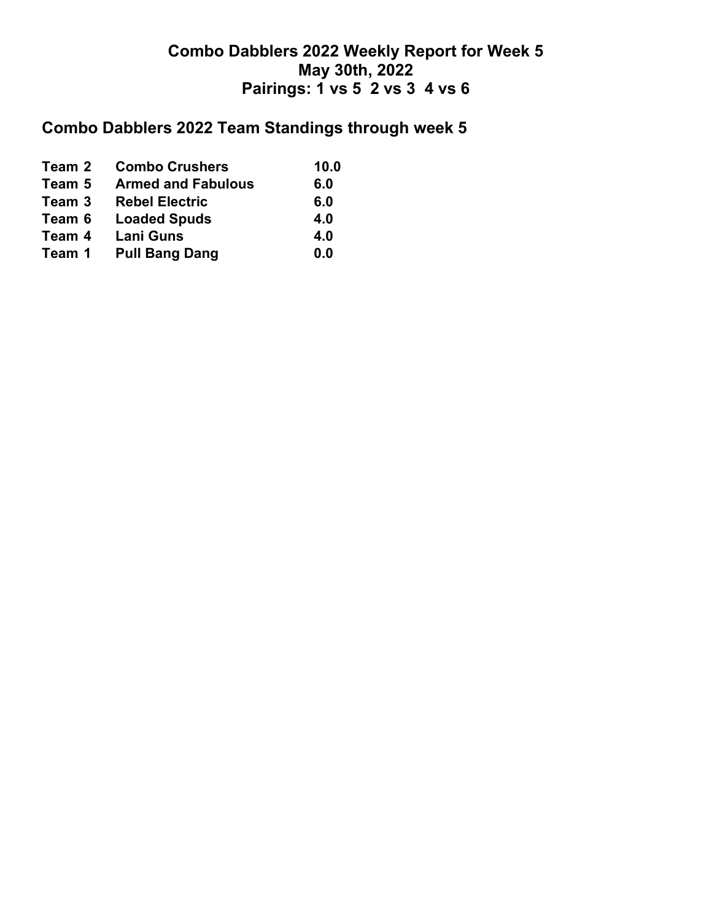# **Combo Dabblers 2022 Team Standings through week 5**

| Team 2 | <b>Combo Crushers</b>     | 10.0 |
|--------|---------------------------|------|
| Team 5 | <b>Armed and Fabulous</b> | 6.0  |
| Team 3 | <b>Rebel Electric</b>     | 6.0  |
| Team 6 | <b>Loaded Spuds</b>       | 4.0  |
| Team 4 | <b>Lani Guns</b>          | 4.0  |
| Team 1 | <b>Pull Bang Dang</b>     | 0.0  |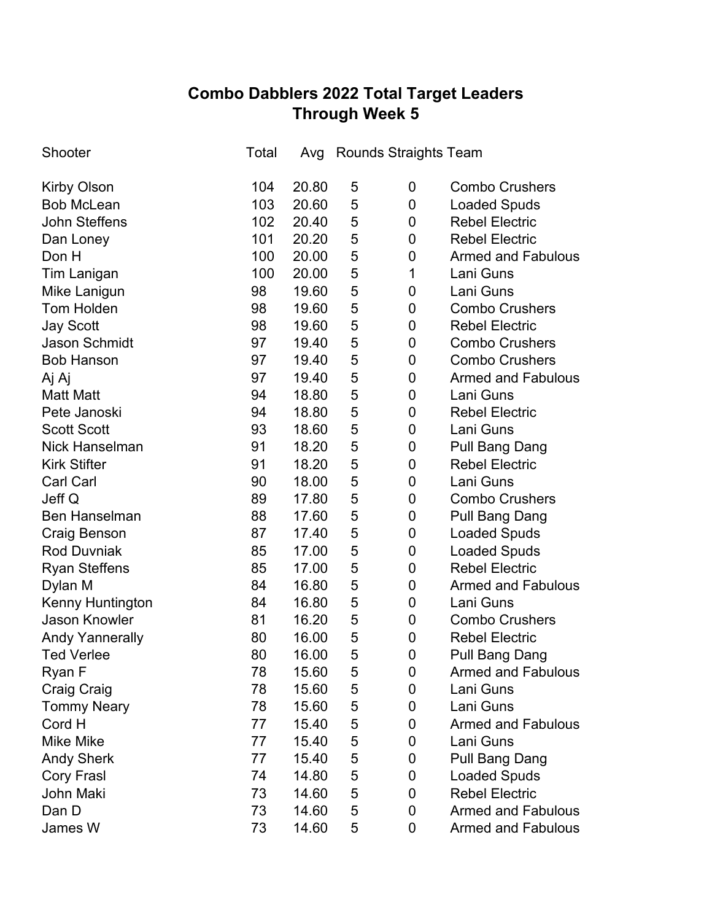## **Combo Dabblers 2022 Total Target Leaders Through Week 5**

| Shooter                | Total | Avg   |   | <b>Rounds Straights Team</b> |                           |
|------------------------|-------|-------|---|------------------------------|---------------------------|
| <b>Kirby Olson</b>     | 104   | 20.80 | 5 | $\boldsymbol{0}$             | <b>Combo Crushers</b>     |
| <b>Bob McLean</b>      | 103   | 20.60 | 5 | $\boldsymbol{0}$             | <b>Loaded Spuds</b>       |
| <b>John Steffens</b>   | 102   | 20.40 | 5 | 0                            | <b>Rebel Electric</b>     |
| Dan Loney              | 101   | 20.20 | 5 | $\boldsymbol{0}$             | <b>Rebel Electric</b>     |
| Don H                  | 100   | 20.00 | 5 | $\mathbf 0$                  | <b>Armed and Fabulous</b> |
| <b>Tim Lanigan</b>     | 100   | 20.00 | 5 | 1                            | Lani Guns                 |
| Mike Lanigun           | 98    | 19.60 | 5 | 0                            | Lani Guns                 |
| <b>Tom Holden</b>      | 98    | 19.60 | 5 | $\boldsymbol{0}$             | <b>Combo Crushers</b>     |
| <b>Jay Scott</b>       | 98    | 19.60 | 5 | 0                            | <b>Rebel Electric</b>     |
| <b>Jason Schmidt</b>   | 97    | 19.40 | 5 | 0                            | <b>Combo Crushers</b>     |
| <b>Bob Hanson</b>      | 97    | 19.40 | 5 | 0                            | <b>Combo Crushers</b>     |
| Aj Aj                  | 97    | 19.40 | 5 | $\boldsymbol{0}$             | <b>Armed and Fabulous</b> |
| <b>Matt Matt</b>       | 94    | 18.80 | 5 | 0                            | Lani Guns                 |
| Pete Janoski           | 94    | 18.80 | 5 | 0                            | <b>Rebel Electric</b>     |
| <b>Scott Scott</b>     | 93    | 18.60 | 5 | $\boldsymbol{0}$             | Lani Guns                 |
| <b>Nick Hanselman</b>  | 91    | 18.20 | 5 | $\boldsymbol{0}$             | <b>Pull Bang Dang</b>     |
| <b>Kirk Stifter</b>    | 91    | 18.20 | 5 | $\boldsymbol{0}$             | <b>Rebel Electric</b>     |
| <b>Carl Carl</b>       | 90    | 18.00 | 5 | $\boldsymbol{0}$             | Lani Guns                 |
| Jeff Q                 | 89    | 17.80 | 5 | 0                            | <b>Combo Crushers</b>     |
| <b>Ben Hanselman</b>   | 88    | 17.60 | 5 | $\boldsymbol{0}$             | <b>Pull Bang Dang</b>     |
| Craig Benson           | 87    | 17.40 | 5 | $\boldsymbol{0}$             | <b>Loaded Spuds</b>       |
| <b>Rod Duvniak</b>     | 85    | 17.00 | 5 | 0                            | <b>Loaded Spuds</b>       |
| <b>Ryan Steffens</b>   | 85    | 17.00 | 5 | 0                            | <b>Rebel Electric</b>     |
| Dylan M                | 84    | 16.80 | 5 | 0                            | <b>Armed and Fabulous</b> |
| Kenny Huntington       | 84    | 16.80 | 5 | $\boldsymbol{0}$             | Lani Guns                 |
| <b>Jason Knowler</b>   | 81    | 16.20 | 5 | 0                            | <b>Combo Crushers</b>     |
| <b>Andy Yannerally</b> | 80    | 16.00 | 5 | $\boldsymbol{0}$             | <b>Rebel Electric</b>     |
| <b>Ted Verlee</b>      | 80    | 16.00 | 5 | $\overline{0}$               | <b>Pull Bang Dang</b>     |
| Ryan F                 | 78    | 15.60 | 5 | 0                            | <b>Armed and Fabulous</b> |
| <b>Craig Craig</b>     | 78    | 15.60 | 5 | 0                            | Lani Guns                 |
| <b>Tommy Neary</b>     | 78    | 15.60 | 5 | 0                            | Lani Guns                 |
| Cord H                 | 77    | 15.40 | 5 | 0                            | <b>Armed and Fabulous</b> |
| <b>Mike Mike</b>       | 77    | 15.40 | 5 | 0                            | Lani Guns                 |
| <b>Andy Sherk</b>      | 77    | 15.40 | 5 | 0                            | <b>Pull Bang Dang</b>     |
| <b>Cory Frasl</b>      | 74    | 14.80 | 5 | 0                            | <b>Loaded Spuds</b>       |
| John Maki              | 73    | 14.60 | 5 | $\boldsymbol{0}$             | <b>Rebel Electric</b>     |
| Dan D                  | 73    | 14.60 | 5 | 0                            | <b>Armed and Fabulous</b> |
| James W                | 73    | 14.60 | 5 | 0                            | <b>Armed and Fabulous</b> |